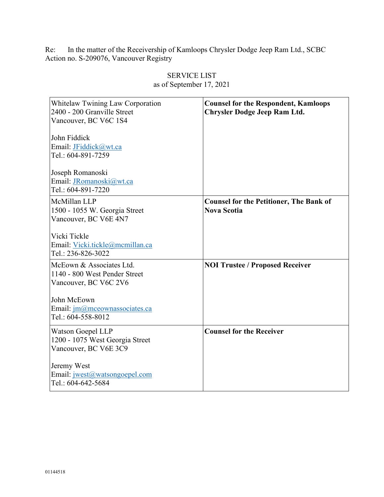Re: In the matter of the Receivership of Kamloops Chrysler Dodge Jeep Ram Ltd., SCBC Action no. S-209076, Vancouver Registry

| Whitelaw Twining Law Corporation<br>2400 - 200 Granville Street<br>Vancouver, BC V6C 1S4<br>John Fiddick<br>Email: JFiddick@wt.ca<br>Tel.: 604-891-7259<br>Joseph Romanoski<br>Email: JRomanoski@wt.ca<br>Tel.: 604-891-7220 | <b>Counsel for the Respondent, Kamloops</b><br><b>Chrysler Dodge Jeep Ram Ltd.</b> |
|------------------------------------------------------------------------------------------------------------------------------------------------------------------------------------------------------------------------------|------------------------------------------------------------------------------------|
| McMillan LLP<br>1500 - 1055 W. Georgia Street<br>Vancouver, BC V6E 4N7<br>Vicki Tickle<br>Email: Vicki.tickle@mcmillan.ca<br>Tel.: 236-826-3022                                                                              | <b>Counsel for the Petitioner, The Bank of</b><br><b>Nova Scotia</b>               |
| McEown & Associates Ltd.<br>1140 - 800 West Pender Street<br>Vancouver, BC V6C 2V6<br>John McEown<br>Email: jm@mceownassociates.ca<br>Tel.: 604-558-8012                                                                     | <b>NOI Trustee / Proposed Receiver</b>                                             |
| <b>Watson Goepel LLP</b><br>1200 - 1075 West Georgia Street<br>Vancouver, BC V6E 3C9<br>Jeremy West<br>Email: jwest@watsongoepel.com<br>Tel.: 604-642-5684                                                                   | <b>Counsel for the Receiver</b>                                                    |

## SERVICE LIST as of September 17, 2021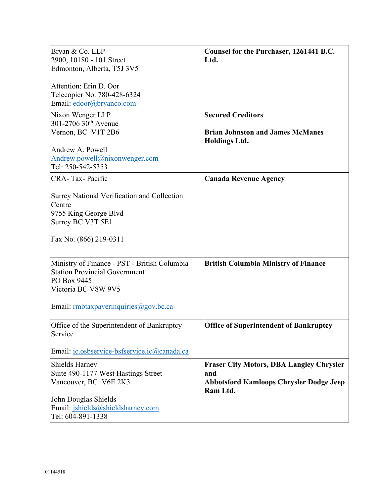| Bryan & Co. LLP<br>2900, 10180 - 101 Street<br>Edmonton, Alberta, T5J 3V5                                                                                           | Counsel for the Purchaser, 1261441 B.C.<br>Ltd.                                                                      |
|---------------------------------------------------------------------------------------------------------------------------------------------------------------------|----------------------------------------------------------------------------------------------------------------------|
| Attention: Erin D. Oor<br>Telecopier No. 780-428-6324<br>Email: edoor@bryanco.com                                                                                   |                                                                                                                      |
| Nixon Wenger LLP<br>301-2706 30 <sup>th</sup> Avenue<br>Vernon, BC V1T 2B6<br>Andrew A. Powell<br>Andrew.powell@nixonwenger.com                                     | <b>Secured Creditors</b><br><b>Brian Johnston and James McManes</b><br><b>Holdings Ltd.</b>                          |
| Tel: 250-542-5353<br>CRA-Tax-Pacific<br>Surrey National Verification and Collection<br>Centre<br>9755 King George Blvd<br>Surrey BC V3T 5E1                         | <b>Canada Revenue Agency</b>                                                                                         |
| Fax No. (866) 219-0311                                                                                                                                              |                                                                                                                      |
| Ministry of Finance - PST - British Columbia<br><b>Station Provincial Government</b><br>PO Box 9445<br>Victoria BC V8W 9V5<br>Email: rmbtaxpayerinquiries@gov.bc.ca | <b>British Columbia Ministry of Finance</b>                                                                          |
| Office of the Superintendent of Bankruptcy<br>Service                                                                                                               | <b>Office of Superintendent of Bankruptcy</b>                                                                        |
| Email: ic.osbservice-bsfservice.ic@canada.ca<br>Shields Harney<br>Suite 490-1177 West Hastings Street<br>Vancouver, BC V6E 2K3                                      | <b>Fraser City Motors, DBA Langley Chrysler</b><br>and<br><b>Abbotsford Kamloops Chrysler Dodge Jeep</b><br>Ram Ltd. |
| John Douglas Shields<br>Email: jshields@shieldsharney.com<br>Tel: 604-891-1338                                                                                      |                                                                                                                      |